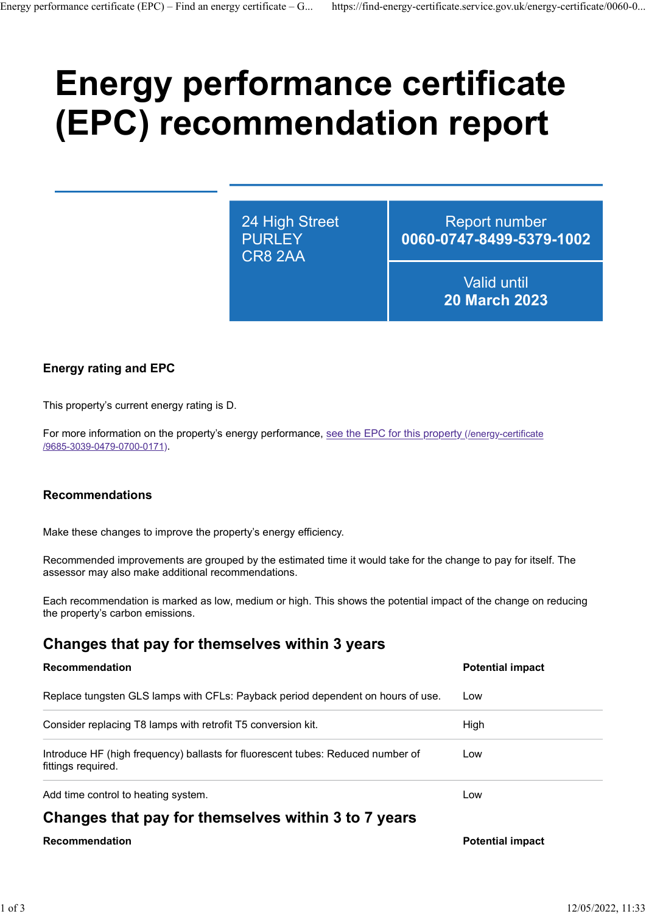# Energy performance certificate (EPC) recommendation report Energy performance certificate (EPC) – Find an energy certificate – G... https://find-energy-certificate.service.gov.uk/energy-certificate/0060-0...<br>  $\blacksquare$

24 High Street CR8 2AA

PURLEY 0060-0747-8499-5379-1002 Report number

> Valid until 20 March 2023

# Energy rating and EPC

#### Recommendations

# Changes that pay for themselves within 3 years

| This property's current energy rating is D.                                                                                                                          |                         |
|----------------------------------------------------------------------------------------------------------------------------------------------------------------------|-------------------------|
| For more information on the property's energy performance, see the EPC for this property (/energy-certificate<br>/9685-3039-0479-0700-0171).                         |                         |
| <b>Recommendations</b>                                                                                                                                               |                         |
| Make these changes to improve the property's energy efficiency.                                                                                                      |                         |
| Recommended improvements are grouped by the estimated time it would take for the change to pay for itself. The<br>assessor may also make additional recommendations. |                         |
| Each recommendation is marked as low, medium or high. This shows the potential impact of the change on reducing<br>the property's carbon emissions.                  |                         |
| Changes that pay for themselves within 3 years                                                                                                                       |                         |
| Recommendation                                                                                                                                                       | <b>Potential impact</b> |
| Replace tungsten GLS lamps with CFLs: Payback period dependent on hours of use.                                                                                      | Low                     |
| Consider replacing T8 lamps with retrofit T5 conversion kit.                                                                                                         | High                    |
| Introduce HF (high frequency) ballasts for fluorescent tubes: Reduced number of<br>fittings required.                                                                | Low                     |
| Add time control to heating system.                                                                                                                                  | Low                     |
|                                                                                                                                                                      |                         |
| Changes that pay for themselves within 3 to 7 years                                                                                                                  |                         |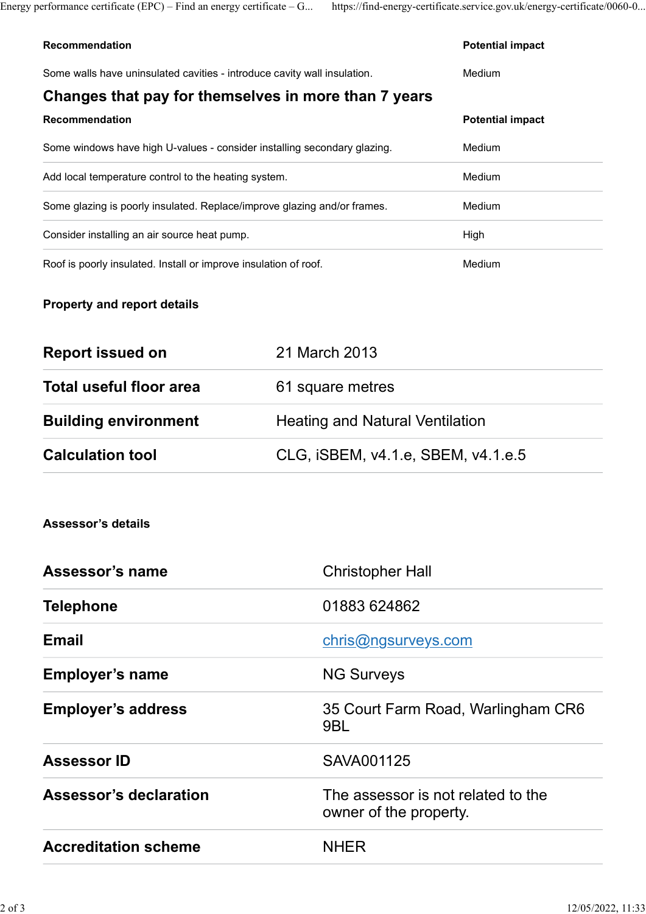|                                                                                                                                  | https://find-energy-certificate.service.gov.uk/energy-certificate/0060-0 |  |
|----------------------------------------------------------------------------------------------------------------------------------|--------------------------------------------------------------------------|--|
|                                                                                                                                  |                                                                          |  |
| Energy performance certificate $(EPC)$ – Find an energy certificate – G<br>Recommendation                                        | <b>Potential impact</b><br>Medium                                        |  |
| Some walls have uninsulated cavities - introduce cavity wall insulation.<br>Changes that pay for themselves in more than 7 years |                                                                          |  |
| Recommendation                                                                                                                   | <b>Potential impact</b>                                                  |  |
| Some windows have high U-values - consider installing secondary glazing.                                                         | Medium                                                                   |  |
| Add local temperature control to the heating system.                                                                             | Medium                                                                   |  |
| Some glazing is poorly insulated. Replace/improve glazing and/or frames.                                                         | Medium                                                                   |  |
| Consider installing an air source heat pump.                                                                                     | High                                                                     |  |

# Property and report details

| <b>Report issued on</b>     | 21 March 2013                          |
|-----------------------------|----------------------------------------|
| Total useful floor area     | 61 square metres                       |
| <b>Building environment</b> | <b>Heating and Natural Ventilation</b> |
| <b>Calculation tool</b>     | CLG, iSBEM, v4.1.e, SBEM, v4.1.e.5     |

## Assessor's details

| Assessor's name               | <b>Christopher Hall</b>                                      |
|-------------------------------|--------------------------------------------------------------|
| <b>Telephone</b>              | 01883 624862                                                 |
| <b>Email</b>                  | chris@ngsurveys.com                                          |
| <b>Employer's name</b>        | <b>NG Surveys</b>                                            |
| <b>Employer's address</b>     | 35 Court Farm Road, Warlingham CR6<br>9BL                    |
| <b>Assessor ID</b>            | SAVA001125                                                   |
| <b>Assessor's declaration</b> | The assessor is not related to the<br>owner of the property. |
| <b>Accreditation scheme</b>   | <b>NHER</b>                                                  |